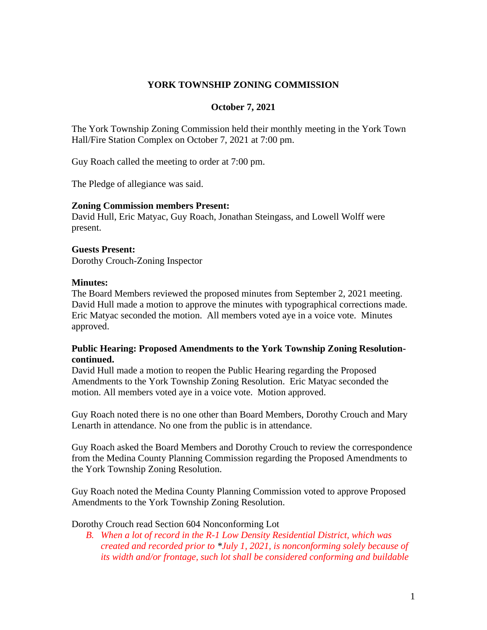# **YORK TOWNSHIP ZONING COMMISSION**

### **October 7, 2021**

The York Township Zoning Commission held their monthly meeting in the York Town Hall/Fire Station Complex on October 7, 2021 at 7:00 pm.

Guy Roach called the meeting to order at 7:00 pm.

The Pledge of allegiance was said.

#### **Zoning Commission members Present:**

David Hull, Eric Matyac, Guy Roach, Jonathan Steingass, and Lowell Wolff were present.

#### **Guests Present:**

Dorothy Crouch-Zoning Inspector

#### **Minutes:**

The Board Members reviewed the proposed minutes from September 2, 2021 meeting. David Hull made a motion to approve the minutes with typographical corrections made. Eric Matyac seconded the motion. All members voted aye in a voice vote. Minutes approved.

## **Public Hearing: Proposed Amendments to the York Township Zoning Resolutioncontinued.**

David Hull made a motion to reopen the Public Hearing regarding the Proposed Amendments to the York Township Zoning Resolution. Eric Matyac seconded the motion. All members voted aye in a voice vote. Motion approved.

Guy Roach noted there is no one other than Board Members, Dorothy Crouch and Mary Lenarth in attendance. No one from the public is in attendance.

Guy Roach asked the Board Members and Dorothy Crouch to review the correspondence from the Medina County Planning Commission regarding the Proposed Amendments to the York Township Zoning Resolution.

Guy Roach noted the Medina County Planning Commission voted to approve Proposed Amendments to the York Township Zoning Resolution.

Dorothy Crouch read Section 604 Nonconforming Lot

*B. When a lot of record in the R-1 Low Density Residential District, which was created and recorded prior to \*July 1, 2021, is nonconforming solely because of its width and/or frontage, such lot shall be considered conforming and buildable*